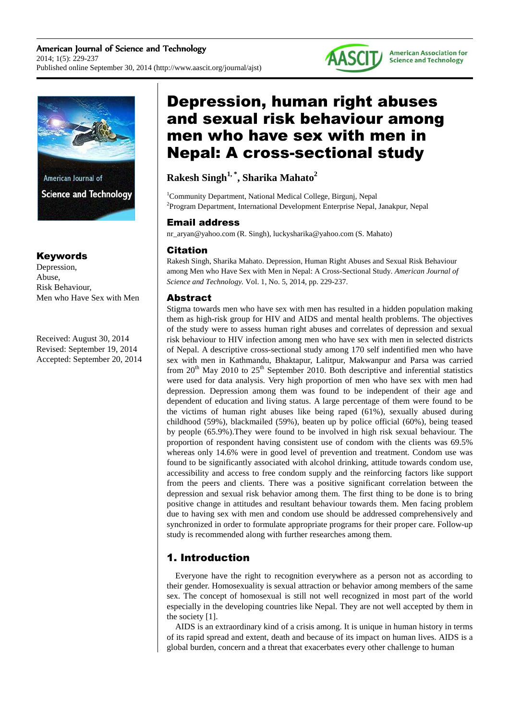



American Journal of **Science and Technology** 

## Keywords

Depression, Abuse, Risk Behaviour, Men who Have Sex with Men

Received: August 30, 2014 Revised: September 19, 2014 Accepted: September 20, 2014

# Depression, human right abuses and sexual risk behaviour among men who have sex with men in Nepal: A cross-sectional study

## **Rakesh Singh1, \*, Sharika Mahato<sup>2</sup>**

<sup>1</sup>Community Department, National Medical College, Birgunj, Nepal <sup>2</sup>Program Department, International Development Enterprise Nepal, Janakpur, Nepal

## Email address

nr\_aryan@yahoo.com (R. Singh), luckysharika@yahoo.com (S. Mahato)

## Citation

Rakesh Singh, Sharika Mahato. Depression, Human Right Abuses and Sexual Risk Behaviour among Men who Have Sex with Men in Nepal: A Cross-Sectional Study. *American Journal of Science and Technology.* Vol. 1, No. 5, 2014, pp. 229-237.

## Abstract

Stigma towards men who have sex with men has resulted in a hidden population making them as high-risk group for HIV and AIDS and mental health problems. The objectives of the study were to assess human right abuses and correlates of depression and sexual risk behaviour to HIV infection among men who have sex with men in selected districts of Nepal. A descriptive cross-sectional study among 170 self indentified men who have sex with men in Kathmandu, Bhaktapur, Lalitpur, Makwanpur and Parsa was carried from  $20<sup>th</sup>$  May 2010 to  $25<sup>th</sup>$  September 2010. Both descriptive and inferential statistics were used for data analysis. Very high proportion of men who have sex with men had depression. Depression among them was found to be independent of their age and dependent of education and living status. A large percentage of them were found to be the victims of human right abuses like being raped (61%), sexually abused during childhood (59%), blackmailed (59%), beaten up by police official (60%), being teased by people (65.9%).They were found to be involved in high risk sexual behaviour. The proportion of respondent having consistent use of condom with the clients was 69.5% whereas only 14.6% were in good level of prevention and treatment. Condom use was found to be significantly associated with alcohol drinking, attitude towards condom use, accessibility and access to free condom supply and the reinforcing factors like support from the peers and clients. There was a positive significant correlation between the depression and sexual risk behavior among them. The first thing to be done is to bring positive change in attitudes and resultant behaviour towards them. Men facing problem due to having sex with men and condom use should be addressed comprehensively and synchronized in order to formulate appropriate programs for their proper care. Follow-up study is recommended along with further researches among them.

## 1. Introduction

Everyone have the right to recognition everywhere as a person not as according to their gender. Homosexuality is sexual attraction or behavior among members of the same sex. The concept of homosexual is still not well recognized in most part of the world especially in the developing countries like Nepal. They are not well accepted by them in the society [1].

AIDS is an extraordinary kind of a crisis among. It is unique in human history in terms of its rapid spread and extent, death and because of its impact on human lives. AIDS is a global burden, concern and a threat that exacerbates every other challenge to human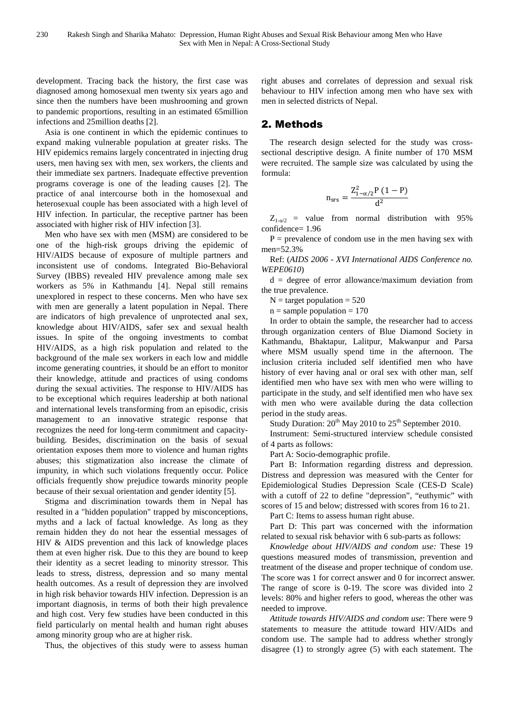development. Tracing back the history, the first case was diagnosed among homosexual men twenty six years ago and since then the numbers have been mushrooming and grown to pandemic proportions, resulting in an estimated 65million infections and 25million deaths [2].

Asia is one continent in which the epidemic continues to expand making vulnerable population at greater risks. The HIV epidemics remains largely concentrated in injecting drug users, men having sex with men, sex workers, the clients and their immediate sex partners. Inadequate effective prevention programs coverage is one of the leading causes [2]. The practice of anal intercourse both in the homosexual and heterosexual couple has been associated with a high level of HIV infection. In particular, the receptive partner has been associated with higher risk of HIV infection [3].

Men who have sex with men (MSM) are considered to be one of the high-risk groups driving the epidemic of HIV/AIDS because of exposure of multiple partners and inconsistent use of condoms. Integrated Bio-Behavioral Survey (IBBS) revealed HIV prevalence among male sex workers as 5% in Kathmandu [4]. Nepal still remains unexplored in respect to these concerns. Men who have sex with men are generally a latent population in Nepal. There are indicators of high prevalence of unprotected anal sex, knowledge about HIV/AIDS, safer sex and sexual health issues. In spite of the ongoing investments to combat HIV/AIDS, as a high risk population and related to the background of the male sex workers in each low and middle income generating countries, it should be an effort to monitor their knowledge, attitude and practices of using condoms during the sexual activities. The response to HIV/AIDS has to be exceptional which requires leadership at both national and international levels transforming from an episodic, crisis management to an innovative strategic response that recognizes the need for long-term commitment and capacitybuilding. Besides, discrimination on the basis of sexual orientation exposes them more to violence and human rights abuses; this stigmatization also increase the climate of impunity, in which such violations frequently occur. Police officials frequently show prejudice towards minority people because of their sexual orientation and gender identity [5].

Stigma and discrimination towards them in Nepal has resulted in a "hidden population" trapped by misconceptions, myths and a lack of factual knowledge. As long as they remain hidden they do not hear the essential messages of HIV & AIDS prevention and this lack of knowledge places them at even higher risk. Due to this they are bound to keep their identity as a secret leading to minority stressor. This leads to stress, distress, depression and so many mental health outcomes. As a result of depression they are involved in high risk behavior towards HIV infection. Depression is an important diagnosis, in terms of both their high prevalence and high cost. Very few studies have been conducted in this field particularly on mental health and human right abuses among minority group who are at higher risk.

Thus, the objectives of this study were to assess human

right abuses and correlates of depression and sexual risk behaviour to HIV infection among men who have sex with men in selected districts of Nepal.

## 2. Methods

The research design selected for the study was crosssectional descriptive design. A finite number of 170 MSM were recruited. The sample size was calculated by using the formula:

$$
n_{srs}=\frac{Z_{1-\alpha/2}^2P\left(1-P\right)}{d^2}
$$

 $Z_{1-\alpha/2}$  = value from normal distribution with 95% confidence= 1.96

 $P =$  prevalence of condom use in the men having sex with men=52.3%

Ref: (*AIDS 2006 - XVI International AIDS Conference no. WEPE0610*)

d = degree of error allowance/maximum deviation from the true prevalence.

 $N =$  target population = 520

 $n =$ sample population = 170

In order to obtain the sample, the researcher had to access through organization centers of Blue Diamond Society in Kathmandu, Bhaktapur, Lalitpur, Makwanpur and Parsa where MSM usually spend time in the afternoon. The inclusion criteria included self identified men who have history of ever having anal or oral sex with other man, self identified men who have sex with men who were willing to participate in the study, and self identified men who have sex with men who were available during the data collection period in the study areas.

Study Duration:  $20^{th}$  May 2010 to  $25^{th}$  September 2010.

Instrument: Semi-structured interview schedule consisted of 4 parts as follows:

Part A: Socio-demographic profile.

Part B: Information regarding distress and depression. Distress and depression was measured with the Center for Epidemiological Studies Depression Scale (CES-D Scale) with a cutoff of 22 to define "depression", "euthymic" with scores of 15 and below; distressed with scores from 16 to 21.

Part C: Items to assess human right abuse.

Part D: This part was concerned with the information related to sexual risk behavior with 6 sub-parts as follows:

*Knowledge about HIV/AIDS and condom use:* These 19 questions measured modes of transmission, prevention and treatment of the disease and proper technique of condom use. The score was 1 for correct answer and 0 for incorrect answer. The range of score is 0-19. The score was divided into 2 levels: 80% and higher refers to good, whereas the other was needed to improve.

*Attitude towards HIV/AIDS and condom use*: There were 9 statements to measure the attitude toward HIV/AIDs and condom use. The sample had to address whether strongly disagree (1) to strongly agree (5) with each statement. The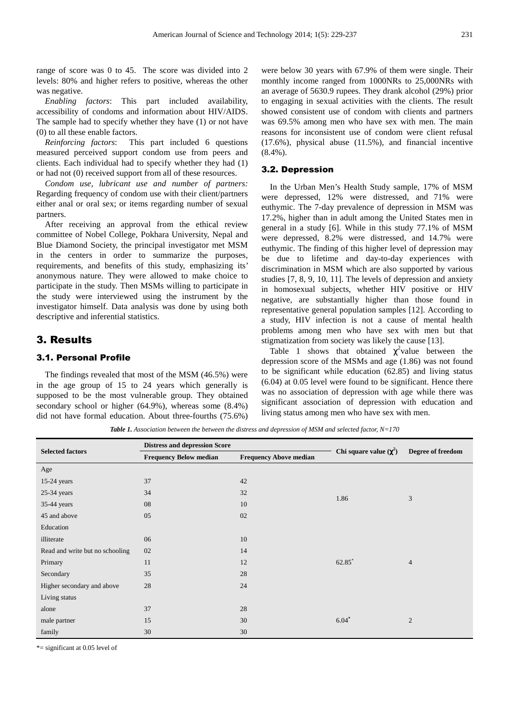range of score was 0 to 45. The score was divided into 2 levels: 80% and higher refers to positive, whereas the other was negative.

*Enabling factors*: This part included availability, accessibility of condoms and information about HIV/AIDS. The sample had to specify whether they have (1) or not have (0) to all these enable factors.

*Reinforcing factors*: This part included 6 questions measured perceived support condom use from peers and clients. Each individual had to specify whether they had (1) or had not (0) received support from all of these resources.

*Condom use, lubricant use and number of partners:*  Regarding frequency of condom use with their client/partners either anal or oral sex; or items regarding number of sexual partners.

After receiving an approval from the ethical review committee of Nobel College, Pokhara University, Nepal and Blue Diamond Society, the principal investigator met MSM in the centers in order to summarize the purposes, requirements, and benefits of this study, emphasizing its' anonymous nature. They were allowed to make choice to participate in the study. Then MSMs willing to participate in the study were interviewed using the instrument by the investigator himself. Data analysis was done by using both descriptive and inferential statistics.

### 3. Results

#### 3.1. Personal Profile

The findings revealed that most of the MSM (46.5%) were in the age group of 15 to 24 years which generally is supposed to be the most vulnerable group. They obtained secondary school or higher (64.9%), whereas some (8.4%) did not have formal education. About three-fourths (75.6%) were below 30 years with 67.9% of them were single. Their monthly income ranged from 1000NRs to 25,000NRs with an average of 5630.9 rupees. They drank alcohol (29%) prior to engaging in sexual activities with the clients. The result showed consistent use of condom with clients and partners was 69.5% among men who have sex with men. The main reasons for inconsistent use of condom were client refusal (17.6%), physical abuse (11.5%), and financial incentive (8.4%).

#### 3.2. Depression

In the Urban Men's Health Study sample, 17% of MSM were depressed, 12% were distressed, and 71% were euthymic. The 7-day prevalence of depression in MSM was 17.2%, higher than in adult among the United States men in general in a study [6]. While in this study 77.1% of MSM were depressed, 8.2% were distressed, and 14.7% were euthymic. The finding of this higher level of depression may be due to lifetime and day-to-day experiences with discrimination in MSM which are also supported by various studies [7, 8, 9, 10, 11]. The levels of depression and anxiety in homosexual subjects, whether HIV positive or HIV negative, are substantially higher than those found in representative general population samples [12]. According to a study, HIV infection is not a cause of mental health problems among men who have sex with men but that stigmatization from society was likely the cause [13].

Table 1 shows that obtained  $\chi^2$  value between the depression score of the MSMs and age (1.86) was not found to be significant while education (62.85) and living status (6.04) at 0.05 level were found to be significant. Hence there was no association of depression with age while there was significant association of depression with education and living status among men who have sex with men.

*Table 1. Association between the between the distress and depression of MSM and selected factor, N=170* 

| <b>Selected factors</b>         | <b>Distress and depression Score</b> |                               |                             | Degree of freedom |
|---------------------------------|--------------------------------------|-------------------------------|-----------------------------|-------------------|
|                                 | <b>Frequency Below median</b>        | <b>Frequency Above median</b> | Chi square value $(\chi^2)$ |                   |
| Age                             |                                      |                               |                             |                   |
| $15-24$ years                   | 37                                   | 42                            |                             |                   |
| $25-34$ years                   | 34                                   | 32                            | 1.86                        |                   |
| 35-44 years                     | 08                                   | 10                            |                             | 3                 |
| 45 and above                    | 05                                   | 02                            |                             |                   |
| Education                       |                                      |                               |                             |                   |
| illiterate                      | 06                                   | 10                            |                             |                   |
| Read and write but no schooling | 02                                   | 14                            |                             |                   |
| Primary                         | 11                                   | 12                            | 62.85*                      | $\overline{4}$    |
| Secondary                       | 35                                   | 28                            |                             |                   |
| Higher secondary and above      | 28                                   | 24                            |                             |                   |
| Living status                   |                                      |                               |                             |                   |
| alone                           | 37                                   | 28                            |                             |                   |
| male partner                    | 15                                   | 30                            | $6.04*$                     | $\mathfrak{2}$    |
| family                          | 30                                   | 30                            |                             |                   |

\*= significant at 0.05 level of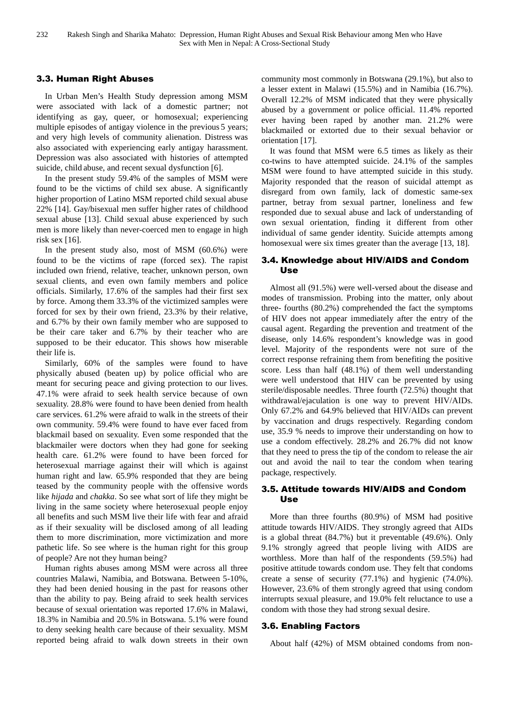#### 3.3. Human Right Abuses

In Urban Men's Health Study depression among MSM were associated with lack of a domestic partner; not identifying as gay, queer, or homosexual; experiencing multiple episodes of antigay violence in the previous 5 years; and very high levels of community alienation. Distress was also associated with experiencing early antigay harassment. Depression was also associated with histories of attempted suicide, child abuse, and recent sexual dysfunction [6].

In the present study 59.4% of the samples of MSM were found to be the victims of child sex abuse. A significantly higher proportion of Latino MSM reported child sexual abuse 22% [14]. Gay/bisexual men suffer higher rates of childhood sexual abuse [13]. Child sexual abuse experienced by such men is more likely than never-coerced men to engage in high risk sex [16].

In the present study also, most of MSM (60.6%) were found to be the victims of rape (forced sex). The rapist included own friend, relative, teacher, unknown person, own sexual clients, and even own family members and police officials. Similarly, 17.6% of the samples had their first sex by force. Among them 33.3% of the victimized samples were forced for sex by their own friend, 23.3% by their relative, and 6.7% by their own family member who are supposed to be their care taker and 6.7% by their teacher who are supposed to be their educator. This shows how miserable their life is.

Similarly, 60% of the samples were found to have physically abused (beaten up) by police official who are meant for securing peace and giving protection to our lives. 47.1% were afraid to seek health service because of own sexuality. 28.8% were found to have been denied from health care services. 61.2% were afraid to walk in the streets of their own community. 59.4% were found to have ever faced from blackmail based on sexuality. Even some responded that the blackmailer were doctors when they had gone for seeking health care. 61.2% were found to have been forced for heterosexual marriage against their will which is against human right and law. 65.9% responded that they are being teased by the community people with the offensive words like *hijada* and *chakka*. So see what sort of life they might be living in the same society where heterosexual people enjoy all benefits and such MSM live their life with fear and afraid as if their sexuality will be disclosed among of all leading them to more discrimination, more victimization and more pathetic life. So see where is the human right for this group of people? Are not they human being?

Human rights abuses among MSM were across all three countries Malawi, Namibia, and Botswana. Between 5-10%, they had been denied housing in the past for reasons other than the ability to pay. Being afraid to seek health services because of sexual orientation was reported 17.6% in Malawi, 18.3% in Namibia and 20.5% in Botswana. 5.1% were found to deny seeking health care because of their sexuality. MSM reported being afraid to walk down streets in their own community most commonly in Botswana (29.1%), but also to a lesser extent in Malawi (15.5%) and in Namibia (16.7%). Overall 12.2% of MSM indicated that they were physically abused by a government or police official. 11.4% reported ever having been raped by another man. 21.2% were blackmailed or extorted due to their sexual behavior or orientation [17].

It was found that MSM were 6.5 times as likely as their co-twins to have attempted suicide. 24.1% of the samples MSM were found to have attempted suicide in this study. Majority responded that the reason of suicidal attempt as disregard from own family, lack of domestic same-sex partner, betray from sexual partner, loneliness and few responded due to sexual abuse and lack of understanding of own sexual orientation, finding it different from other individual of same gender identity. Suicide attempts among homosexual were six times greater than the average [13, 18].

#### 3.4. Knowledge about HIV/AIDS and Condom Use

Almost all (91.5%) were well-versed about the disease and modes of transmission. Probing into the matter, only about three- fourths (80.2%) comprehended the fact the symptoms of HIV does not appear immediately after the entry of the causal agent. Regarding the prevention and treatment of the disease, only 14.6% respondent's knowledge was in good level. Majority of the respondents were not sure of the correct response refraining them from benefiting the positive score. Less than half (48.1%) of them well understanding were well understood that HIV can be prevented by using sterile/disposable needles. Three fourth (72.5%) thought that withdrawal/ejaculation is one way to prevent HIV/AIDs. Only 67.2% and 64.9% believed that HIV/AIDs can prevent by vaccination and drugs respectively. Regarding condom use, 35.9 % needs to improve their understanding on how to use a condom effectively. 28.2% and 26.7% did not know that they need to press the tip of the condom to release the air out and avoid the nail to tear the condom when tearing package, respectively.

#### 3.5. Attitude towards HIV/AIDS and Condom Use

More than three fourths (80.9%) of MSM had positive attitude towards HIV/AIDS. They strongly agreed that AIDs is a global threat (84.7%) but it preventable (49.6%). Only 9.1% strongly agreed that people living with AIDS are worthless. More than half of the respondents (59.5%) had positive attitude towards condom use. They felt that condoms create a sense of security (77.1%) and hygienic (74.0%). However, 23.6% of them strongly agreed that using condom interrupts sexual pleasure, and 19.0% felt reluctance to use a condom with those they had strong sexual desire.

#### 3.6. Enabling Factors

About half (42%) of MSM obtained condoms from non-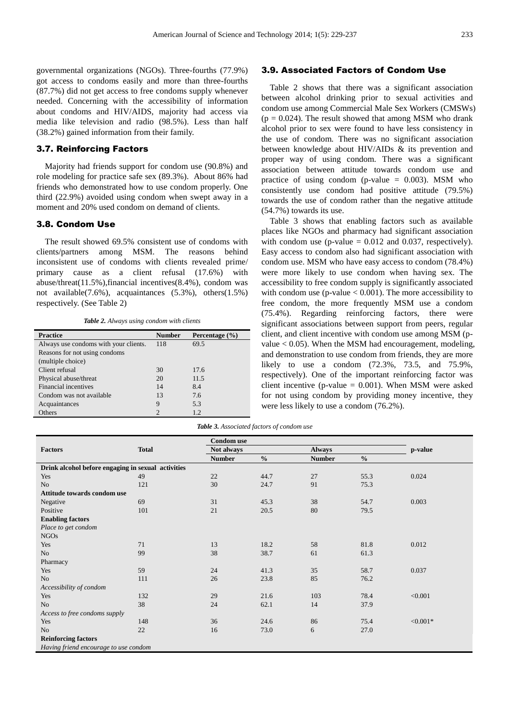governmental organizations (NGOs). Three-fourths (77.9%) got access to condoms easily and more than three-fourths (87.7%) did not get access to free condoms supply whenever needed. Concerning with the accessibility of information about condoms and HIV/AIDS, majority had access via media like television and radio (98.5%). Less than half (38.2%) gained information from their family.

#### 3.7. Reinforcing Factors

Majority had friends support for condom use (90.8%) and role modeling for practice safe sex (89.3%). About 86% had friends who demonstrated how to use condom properly. One third (22.9%) avoided using condom when swept away in a moment and 20% used condom on demand of clients.

#### 3.8. Condom Use

The result showed 69.5% consistent use of condoms with clients/partners among MSM. The reasons behind inconsistent use of condoms with clients revealed prime/ primary cause as a client refusal (17.6%) with abuse/threat(11.5%),financial incentives(8.4%), condom was not available(7.6%), acquaintances (5.3%), others(1.5%) respectively. (See Table 2)

*Table 2. Always using condom with clients* 

| <b>Practice</b>                       | <b>Number</b>  | Percentage $(\% )$ |
|---------------------------------------|----------------|--------------------|
| Always use condoms with your clients. | 118            | 69.5               |
| Reasons for not using condoms         |                |                    |
| (multiple choice)                     |                |                    |
| Client refusal                        | 30             | 17.6               |
| Physical abuse/threat                 | 20             | 11.5               |
| Financial incentives                  | 14             | 8.4                |
| Condom was not available              | 13             | 7.6                |
| Acquaintances                         | 9              | 5.3                |
| Others                                | $\mathfrak{D}$ | 1.2.               |

#### 3.9. Associated Factors of Condom Use

Table 2 shows that there was a significant association between alcohol drinking prior to sexual activities and condom use among Commercial Male Sex Workers (CMSWs)  $(p = 0.024)$ . The result showed that among MSM who drank alcohol prior to sex were found to have less consistency in the use of condom. There was no significant association between knowledge about HIV/AIDs & its prevention and proper way of using condom. There was a significant association between attitude towards condom use and practice of using condom (p-value  $= 0.003$ ). MSM who consistently use condom had positive attitude (79.5%) towards the use of condom rather than the negative attitude (54.7%) towards its use.

Table 3 shows that enabling factors such as available places like NGOs and pharmacy had significant association with condom use (p-value  $= 0.012$  and 0.037, respectively). Easy access to condom also had significant association with condom use. MSM who have easy access to condom (78.4%) were more likely to use condom when having sex. The accessibility to free condom supply is significantly associated with condom use (p-value  $< 0.001$ ). The more accessibility to free condom, the more frequently MSM use a condom (75.4%). Regarding reinforcing factors, there were significant associations between support from peers, regular client, and client incentive with condom use among MSM (pvalue  $< 0.05$ ). When the MSM had encouragement, modeling, and demonstration to use condom from friends, they are more likely to use a condom (72.3%, 73.5, and 75.9%, respectively). One of the important reinforcing factor was client incentive (p-value  $= 0.001$ ). When MSM were asked for not using condom by providing money incentive, they were less likely to use a condom (76.2%).

|                                                    | <b>Total</b> | <b>Condom</b> use |               |               |               |            |
|----------------------------------------------------|--------------|-------------------|---------------|---------------|---------------|------------|
| <b>Factors</b>                                     |              | Not always        |               | <b>Always</b> |               | p-value    |
|                                                    |              | <b>Number</b>     | $\frac{0}{0}$ | <b>Number</b> | $\frac{6}{6}$ |            |
| Drink alcohol before engaging in sexual activities |              |                   |               |               |               |            |
| Yes                                                | 49           | 22                | 44.7          | 27            | 55.3          | 0.024      |
| No.                                                | 121          | 30                | 24.7          | 91            | 75.3          |            |
| Attitude towards condom use                        |              |                   |               |               |               |            |
| Negative                                           | 69           | 31                | 45.3          | 38            | 54.7          | 0.003      |
| Positive                                           | 101          | 21                | 20.5          | 80            | 79.5          |            |
| <b>Enabling factors</b>                            |              |                   |               |               |               |            |
| Place to get condom                                |              |                   |               |               |               |            |
| <b>NGOs</b>                                        |              |                   |               |               |               |            |
| Yes                                                | 71           | 13                | 18.2          | 58            | 81.8          | 0.012      |
| No.                                                | 99           | 38                | 38.7          | 61            | 61.3          |            |
| Pharmacy                                           |              |                   |               |               |               |            |
| Yes                                                | 59           | 24                | 41.3          | 35            | 58.7          | 0.037      |
| N <sub>o</sub>                                     | 111          | 26                | 23.8          | 85            | 76.2          |            |
| Accessibility of condom                            |              |                   |               |               |               |            |
| Yes                                                | 132          | 29                | 21.6          | 103           | 78.4          | < 0.001    |
| N <sub>o</sub>                                     | 38           | 24                | 62.1          | 14            | 37.9          |            |
| Access to free condoms supply                      |              |                   |               |               |               |            |
| Yes                                                | 148          | 36                | 24.6          | 86            | 75.4          | $< 0.001*$ |
| N <sub>o</sub>                                     | 22           | 16                | 73.0          | 6             | 27.0          |            |
| <b>Reinforcing factors</b>                         |              |                   |               |               |               |            |
| Having friend encourage to use condom              |              |                   |               |               |               |            |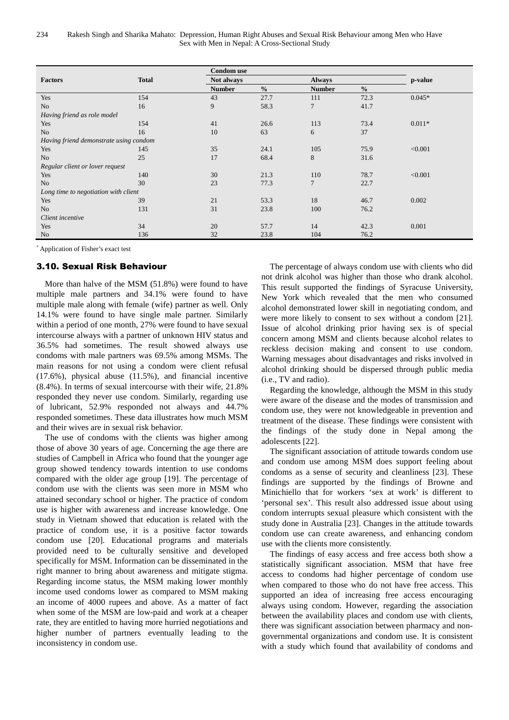|                                        | <b>Total</b> | <b>Condom</b> use |               |               |               |          |  |
|----------------------------------------|--------------|-------------------|---------------|---------------|---------------|----------|--|
| <b>Factors</b>                         |              | Not always        |               | <b>Always</b> |               | p-value  |  |
|                                        |              | <b>Number</b>     | $\frac{0}{0}$ | <b>Number</b> | $\frac{0}{0}$ |          |  |
| Yes                                    | 154          | 43                | 27.7          | 111           | 72.3          | $0.045*$ |  |
| N <sub>o</sub>                         | 16           | 9                 | 58.3          | 7             | 41.7          |          |  |
| Having friend as role model            |              |                   |               |               |               |          |  |
| Yes                                    | 154          | 41                | 26.6          | 113           | 73.4          | $0.011*$ |  |
| N <sub>o</sub>                         | 16           | 10                | 63            | 6             | 37            |          |  |
| Having friend demonstrate using condom |              |                   |               |               |               |          |  |
| Yes                                    | 145          | 35                | 24.1          | 105           | 75.9          | < 0.001  |  |
| N <sub>o</sub>                         | 25           | 17                | 68.4          | 8             | 31.6          |          |  |
| Regular client or lover request        |              |                   |               |               |               |          |  |
| Yes                                    | 140          | 30                | 21.3          | 110           | 78.7          | < 0.001  |  |
| N <sub>o</sub>                         | 30           | 23                | 77.3          | 7             | 22.7          |          |  |
| Long time to negotiation with client   |              |                   |               |               |               |          |  |
| Yes                                    | 39           | 21                | 53.3          | 18            | 46.7          | 0.002    |  |
| N <sub>o</sub>                         | 131          | 31                | 23.8          | 100           | 76.2          |          |  |
| Client incentive                       |              |                   |               |               |               |          |  |
| Yes                                    | 34           | 20                | 57.7          | 14            | 42.3          | 0.001    |  |
| N <sub>o</sub>                         | 136          | 32                | 23.8          | 104           | 76.2          |          |  |

\* Application of Fisher's exact test

#### 3.10. Sexual Risk Behaviour

More than halve of the MSM (51.8%) were found to have multiple male partners and 34.1% were found to have multiple male along with female (wife) partner as well. Only 14.1% were found to have single male partner. Similarly within a period of one month, 27% were found to have sexual intercourse always with a partner of unknown HIV status and 36.5% had sometimes. The result showed always use condoms with male partners was 69.5% among MSMs. The main reasons for not using a condom were client refusal (17.6%), physical abuse (11.5%), and financial incentive (8.4%). In terms of sexual intercourse with their wife, 21.8% responded they never use condom. Similarly, regarding use of lubricant, 52.9% responded not always and 44.7% responded sometimes. These data illustrates how much MSM and their wives are in sexual risk behavior.

The use of condoms with the clients was higher among those of above 30 years of age. Concerning the age there are studies of Campbell in Africa who found that the younger age group showed tendency towards intention to use condoms compared with the older age group [19]. The percentage of condom use with the clients was seen more in MSM who attained secondary school or higher. The practice of condom use is higher with awareness and increase knowledge. One study in Vietnam showed that education is related with the practice of condom use, it is a positive factor towards condom use [20]. Educational programs and materials provided need to be culturally sensitive and developed specifically for MSM. Information can be disseminated in the right manner to bring about awareness and mitigate stigma. Regarding income status, the MSM making lower monthly income used condoms lower as compared to MSM making an income of 4000 rupees and above. As a matter of fact when some of the MSM are low-paid and work at a cheaper rate, they are entitled to having more hurried negotiations and higher number of partners eventually leading to the inconsistency in condom use.

The percentage of always condom use with clients who did not drink alcohol was higher than those who drank alcohol. This result supported the findings of Syracuse University, New York which revealed that the men who consumed alcohol demonstrated lower skill in negotiating condom, and were more likely to consent to sex without a condom [21]. Issue of alcohol drinking prior having sex is of special concern among MSM and clients because alcohol relates to reckless decision making and consent to use condom. Warning messages about disadvantages and risks involved in alcohol drinking should be dispersed through public media (i.e., TV and radio).

Regarding the knowledge, although the MSM in this study were aware of the disease and the modes of transmission and condom use, they were not knowledgeable in prevention and treatment of the disease. These findings were consistent with the findings of the study done in Nepal among the adolescents [22].

The significant association of attitude towards condom use and condom use among MSM does support feeling about condoms as a sense of security and cleanliness [23]. These findings are supported by the findings of Browne and Minichiello that for workers 'sex at work' is different to 'personal sex'. This result also addressed issue about using condom interrupts sexual pleasure which consistent with the study done in Australia [23]. Changes in the attitude towards condom use can create awareness, and enhancing condom use with the clients more consistently.

The findings of easy access and free access both show a statistically significant association. MSM that have free access to condoms had higher percentage of condom use when compared to those who do not have free access. This supported an idea of increasing free access encouraging always using condom. However, regarding the association between the availability places and condom use with clients, there was significant association between pharmacy and nongovernmental organizations and condom use. It is consistent with a study which found that availability of condoms and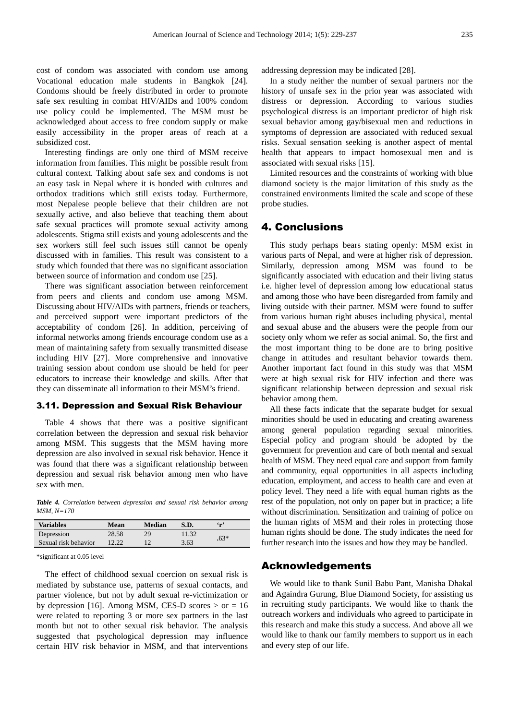cost of condom was associated with condom use among Vocational education male students in Bangkok [24]. Condoms should be freely distributed in order to promote safe sex resulting in combat HIV/AIDs and 100% condom use policy could be implemented. The MSM must be acknowledged about access to free condom supply or make easily accessibility in the proper areas of reach at a subsidized cost.

Interesting findings are only one third of MSM receive information from families. This might be possible result from cultural context. Talking about safe sex and condoms is not an easy task in Nepal where it is bonded with cultures and orthodox traditions which still exists today. Furthermore, most Nepalese people believe that their children are not sexually active, and also believe that teaching them about safe sexual practices will promote sexual activity among adolescents. Stigma still exists and young adolescents and the sex workers still feel such issues still cannot be openly discussed with in families. This result was consistent to a study which founded that there was no significant association between source of information and condom use [25].

There was significant association between reinforcement from peers and clients and condom use among MSM. Discussing about HIV/AIDs with partners, friends or teachers, and perceived support were important predictors of the acceptability of condom [26]. In addition, perceiving of informal networks among friends encourage condom use as a mean of maintaining safety from sexually transmitted disease including HIV [27]. More comprehensive and innovative training session about condom use should be held for peer educators to increase their knowledge and skills. After that they can disseminate all information to their MSM's friend.

#### 3.11. Depression and Sexual Risk Behaviour

Table 4 shows that there was a positive significant correlation between the depression and sexual risk behavior among MSM. This suggests that the MSM having more depression are also involved in sexual risk behavior. Hence it was found that there was a significant relationship between depression and sexual risk behavior among men who have sex with men.

*Table 4. Correlation between depression and sexual risk behavior among MSM, N=170* 

| <b>Variables</b>     | Mean  | Median | S.D.  | $\mathfrak{c}_{\mathbf{r}}$ |
|----------------------|-------|--------|-------|-----------------------------|
| Depression           | 28.58 | 29     | 11.32 | $.63*$                      |
| Sexual risk behavior | 12.22 |        | 3.63  |                             |

\*significant at 0.05 level

The effect of childhood sexual coercion on sexual risk is mediated by substance use, patterns of sexual contacts, and partner violence, but not by adult sexual re-victimization or by depression [16]. Among MSM, CES-D scores  $>$  or = 16 were related to reporting 3 or more sex partners in the last month but not to other sexual risk behavior. The analysis suggested that psychological depression may influence certain HIV risk behavior in MSM, and that interventions

addressing depression may be indicated [28].

In a study neither the number of sexual partners nor the history of unsafe sex in the prior year was associated with distress or depression. According to various studies psychological distress is an important predictor of high risk sexual behavior among gay/bisexual men and reductions in symptoms of depression are associated with reduced sexual risks. Sexual sensation seeking is another aspect of mental health that appears to impact homosexual men and is associated with sexual risks [15].

Limited resources and the constraints of working with blue diamond society is the major limitation of this study as the constrained environments limited the scale and scope of these probe studies.

#### 4. Conclusions

This study perhaps bears stating openly: MSM exist in various parts of Nepal, and were at higher risk of depression. Similarly, depression among MSM was found to be significantly associated with education and their living status i.e. higher level of depression among low educational status and among those who have been disregarded from family and living outside with their partner. MSM were found to suffer from various human right abuses including physical, mental and sexual abuse and the abusers were the people from our society only whom we refer as social animal. So, the first and the most important thing to be done are to bring positive change in attitudes and resultant behavior towards them. Another important fact found in this study was that MSM were at high sexual risk for HIV infection and there was significant relationship between depression and sexual risk behavior among them.

All these facts indicate that the separate budget for sexual minorities should be used in educating and creating awareness among general population regarding sexual minorities. Especial policy and program should be adopted by the government for prevention and care of both mental and sexual health of MSM. They need equal care and support from family and community, equal opportunities in all aspects including education, employment, and access to health care and even at policy level. They need a life with equal human rights as the rest of the population, not only on paper but in practice; a life without discrimination. Sensitization and training of police on the human rights of MSM and their roles in protecting those human rights should be done. The study indicates the need for further research into the issues and how they may be handled.

#### Acknowledgements

We would like to thank Sunil Babu Pant, Manisha Dhakal and Againdra Gurung, Blue Diamond Society, for assisting us in recruiting study participants. We would like to thank the outreach workers and individuals who agreed to participate in this research and make this study a success. And above all we would like to thank our family members to support us in each and every step of our life.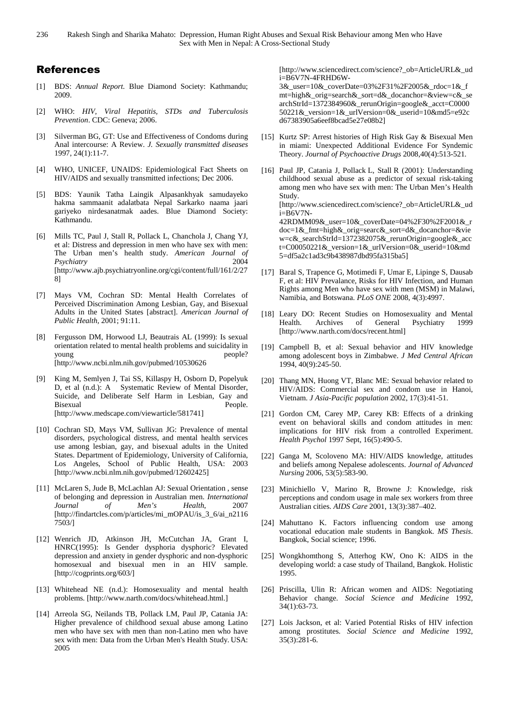### References

- [1] BDS: *Annual Report.* Blue Diamond Society: Kathmandu; 2009.
- [2] WHO: *HIV, Viral Hepatitis, STDs and Tuberculosis Prevention*. CDC: Geneva; 2006.
- [3] Silverman BG, GT: Use and Effectiveness of Condoms during Anal intercourse: A Review. *J. Sexually transmitted diseases*  1997, 24(1):11-7.
- [4] WHO, UNICEF, UNAIDS: Epidemiological Fact Sheets on HIV/AIDS and sexually transmitted infections; Dec 2006.
- [5] BDS: Yaunik Tatha Laingik Alpasankhyak samudayeko hakma sammaanit adalatbata Nepal Sarkarko naama jaari gariyeko nirdesanatmak aades. Blue Diamond Society: Kathmandu.
- [6] Mills TC, Paul J, Stall R, Pollack L, Chanchola J, Chang YJ, et al: Distress and depression in men who have sex with men: The Urban men's health study. *American Journal of Psychiatry* 2004 [http://www.ajb.psychiatryonline.org/cgi/content/full/161/2/27 8]
- [7] Mays VM, Cochran SD: Mental Health Correlates of Perceived Discrimination Among Lesbian, Gay, and Bisexual Adults in the United States [abstract]. *American Journal of Public Health,* 2001; 91:11.
- [8] Fergusson DM, Horwood LJ, Beautrais AL (1999): Is sexual orientation related to mental health problems and suicidality in young people? [http://www.ncbi.nlm.nih.gov/pubmed/10530626
- [9] King M, Semlyen J, Tai SS, Killaspy H, Osborn D, Popelyuk D, et al (n.d.): A Systematic Review of Mental Disorder, Suicide, and Deliberate Self Harm in Lesbian, Gay and Bisexual People. [http://www.medscape.com/viewarticle/581741]
- [10] Cochran SD, Mays VM, Sullivan JG: Prevalence of mental disorders, psychological distress, and mental health services use among lesbian, gay, and bisexual adults in the United States. Department of Epidemiology, University of California, Los Angeles, School of Public Health, USA: 2003 [http://www.ncbi.nlm.nih.gov/pubmed/12602425]
- [11] McLaren S, Jude B, McLachlan AJ: Sexual Orientation , sense of belonging and depression in Australian men. *International Journal of Men's Health*, 2007 [http://findartcles.com/p/articles/mi\_mOPAU/is\_3\_6/ai\_n2116 7503/]
- [12] Wenrich JD, Atkinson JH, McCutchan JA, Grant I, HNRC(1995): Is Gender dysphoria dysphoric? Elevated depression and anxiety in gender dysphoric and non-dysphoric homosexual and bisexual men in an HIV sample. [http://cogprints.org/603/]
- [13] Whitehead NE (n.d.): Homosexuality and mental health problems. [http://www.narth.com/docs/whitehead.html.]
- [14] Arreola SG, Neilands TB, Pollack LM, Paul JP, Catania JA: Higher prevalence of childhood sexual abuse among Latino men who have sex with men than non-Latino men who have sex with men: Data from the Urban Men's Health Study. USA: 2005

[http://www.sciencedirect.com/science?\_ob=ArticleURL&\_ud i=B6V7N-4FRHD6W-

3&\_user=10&\_coverDate=03%2F31%2F2005&\_rdoc=1&\_f mt=high&\_orig=search&\_sort=d&\_docanchor=&view=c&\_se archStrId=1372384960&\_rerunOrigin=google&\_acct=C0000 50221&\_version=1&\_urlVersion=0&\_userid=10&md5=e92c d67383905a6eef8bcad5e27e08b2]

- [15] Kurtz SP: Arrest histories of High Risk Gay & Bisexual Men in miami: Unexpected Additional Evidence For Syndemic Theory. *Journal of Psychoactive Drugs* 2008,40(4):513-521*.*
- [16] Paul JP, Catania J, Pollack L, Stall R (2001): Understanding childhood sexual abuse as a predictor of sexual risk-taking among men who have sex with men: The Urban Men's Health Study. [http://www.sciencedirect.com/science?\_ob=ArticleURL&\_ud i=B6V7N-42RDMM09&\_user=10&\_coverDate=04%2F30%2F2001&\_r doc=1&\_fmt=high&\_orig=searc&\_sort=d&\_docanchor=&vie w=c&\_searchStrId=1372382075&\_rerunOrigin=google&\_acc t=C00050221&\_version=1&\_urlVersion=0&\_userid=10&md 5=df5a2c1ad3c9b438987dbd95fa315ba5]
- [17] Baral S, Trapence G, Motimedi F, Umar E, Lipinge S, Dausab F, et al: HIV Prevalance, Risks for HIV Infection, and Human Rights among Men who have sex with men (MSM) in Malawi, Namibia, and Botswana. *PLoS ONE* 2008, 4(3):4997.
- [18] Leary DO: Recent Studies on Homosexuality and Mental Health. Archives of General Psychiatry 1999 [http://www.narth.com/docs/recent.html]
- [19] Campbell B, et al: Sexual behavior and HIV knowledge among adolescent boys in Zimbabwe. *J Med Central African* 1994, 40(9):245-50.
- [20] Thang MN, Huong VT, Blanc ME: Sexual behavior related to HIV/AIDS: Commercial sex and condom use in Hanoi, Vietnam. *J Asia-Pacific population* 2002, 17(3):41-51.
- [21] Gordon CM, Carey MP, Carey KB: Effects of a drinking event on behavioral skills and condom attitudes in men: implications for HIV risk from a controlled Experiment. *Health Psychol* 1997 Sept, 16(5):490-5.
- [22] Ganga M, Scoloveno MA: HIV/AIDS knowledge, attitudes and beliefs among Nepalese adolescents. *Journal of Advanced Nursing* 2006, 53(5):583-90.
- [23] Minichiello V, Marino R, Browne J: Knowledge, risk perceptions and condom usage in male sex workers from three Australian cities. *AIDS Care* 2001, 13(3):387–402.
- [24] Mahuttano K. Factors influencing condom use among vocational education male students in Bangkok. *MS Thesis*. Bangkok, Social science; 1996.
- [25] Wongkhomthong S, Atterhog KW, Ono K: AIDS in the developing world: a case study of Thailand, Bangkok. Holistic 1995.
- [26] Priscilla, Ulin R: African women and AIDS: Negotiating Behavior change. *Social Science and Medicine* 1992, 34(1):63-73.
- [27] Lois Jackson, et al: Varied Potential Risks of HIV infection among prostitutes. *Social Science and Medicine* 1992, 35(3):281-6.